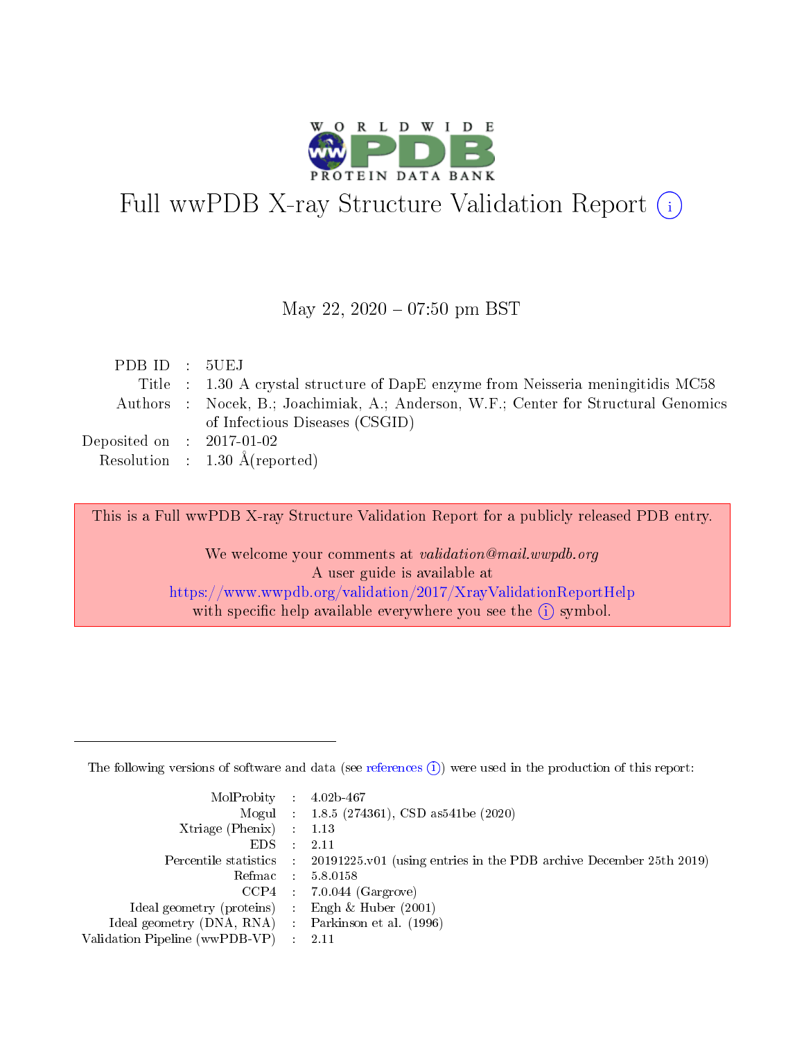

# Full wwPDB X-ray Structure Validation Report (i)

#### May 22,  $2020 - 07:50$  pm BST

| PDB ID : 5UEJ               |                                                                                     |
|-----------------------------|-------------------------------------------------------------------------------------|
|                             | Title : 1.30 A crystal structure of DapE enzyme from Neisseria meningitidis MC58    |
|                             | Authors : Nocek, B.; Joachimiak, A.; Anderson, W.F.; Center for Structural Genomics |
|                             | of Infectious Diseases (CSGID)                                                      |
| Deposited on : $2017-01-02$ |                                                                                     |
|                             | Resolution : $1.30 \text{ Å}$ (reported)                                            |

This is a Full wwPDB X-ray Structure Validation Report for a publicly released PDB entry.

We welcome your comments at validation@mail.wwpdb.org A user guide is available at <https://www.wwpdb.org/validation/2017/XrayValidationReportHelp> with specific help available everywhere you see the  $(i)$  symbol.

The following versions of software and data (see [references](https://www.wwpdb.org/validation/2017/XrayValidationReportHelp#references)  $(1)$ ) were used in the production of this report:

| $MolProbability$ 4.02b-467                          |               |                                                                                            |
|-----------------------------------------------------|---------------|--------------------------------------------------------------------------------------------|
|                                                     |               | Mogul : $1.8.5$ (274361), CSD as 541be (2020)                                              |
| Xtriage (Phenix) $: 1.13$                           |               |                                                                                            |
| EDS.                                                | $\mathcal{L}$ | -2.11                                                                                      |
|                                                     |               | Percentile statistics : 20191225.v01 (using entries in the PDB archive December 25th 2019) |
|                                                     |               | Refmac $5.8.0158$                                                                          |
| CCP4                                                |               | $7.0.044$ (Gargrove)                                                                       |
| Ideal geometry (proteins)                           | $\sim$        | Engh $\&$ Huber (2001)                                                                     |
| Ideal geometry (DNA, RNA) : Parkinson et al. (1996) |               |                                                                                            |
| Validation Pipeline (wwPDB-VP) : 2.11               |               |                                                                                            |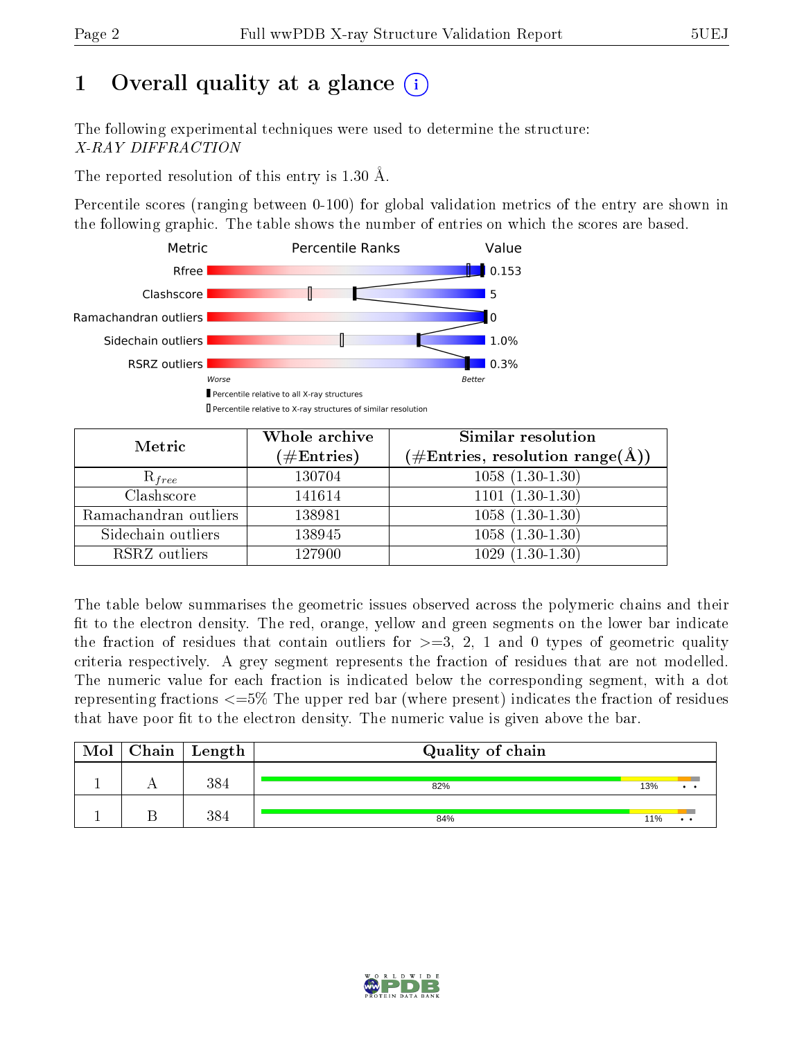## 1 [O](https://www.wwpdb.org/validation/2017/XrayValidationReportHelp#overall_quality)verall quality at a glance  $(i)$

The following experimental techniques were used to determine the structure: X-RAY DIFFRACTION

The reported resolution of this entry is 1.30 Å.

Percentile scores (ranging between 0-100) for global validation metrics of the entry are shown in the following graphic. The table shows the number of entries on which the scores are based.



| Metric                | Whole archive<br>$(\#\mathrm{Entries})$ | Similar resolution<br>$(\#\text{Entries},\,\text{resolution}\,\,\text{range}(\textup{\AA}))$ |
|-----------------------|-----------------------------------------|----------------------------------------------------------------------------------------------|
| $R_{free}$            | 130704                                  | $1058(1.30-1.30)$                                                                            |
| Clashscore            | 141614                                  | $1101(1.30-1.30)$                                                                            |
| Ramachandran outliers | 138981                                  | $\overline{1058 \ (1.30-1.30)}$                                                              |
| Sidechain outliers    | 138945                                  | $1058(1.30-1.30)$                                                                            |
| RSRZ outliers         | 127900                                  | $1029(1.30-1.30)$                                                                            |

The table below summarises the geometric issues observed across the polymeric chains and their fit to the electron density. The red, orange, yellow and green segments on the lower bar indicate the fraction of residues that contain outliers for  $>=3, 2, 1$  and 0 types of geometric quality criteria respectively. A grey segment represents the fraction of residues that are not modelled. The numeric value for each fraction is indicated below the corresponding segment, with a dot representing fractions  $\epsilon=5\%$  The upper red bar (where present) indicates the fraction of residues that have poor fit to the electron density. The numeric value is given above the bar.

| Mol | $Chain$ Length | Quality of chain |     |             |
|-----|----------------|------------------|-----|-------------|
|     | 384            | 82%              | 13% | $\bullet$ . |
|     | 28/            | 84%              | 11% |             |

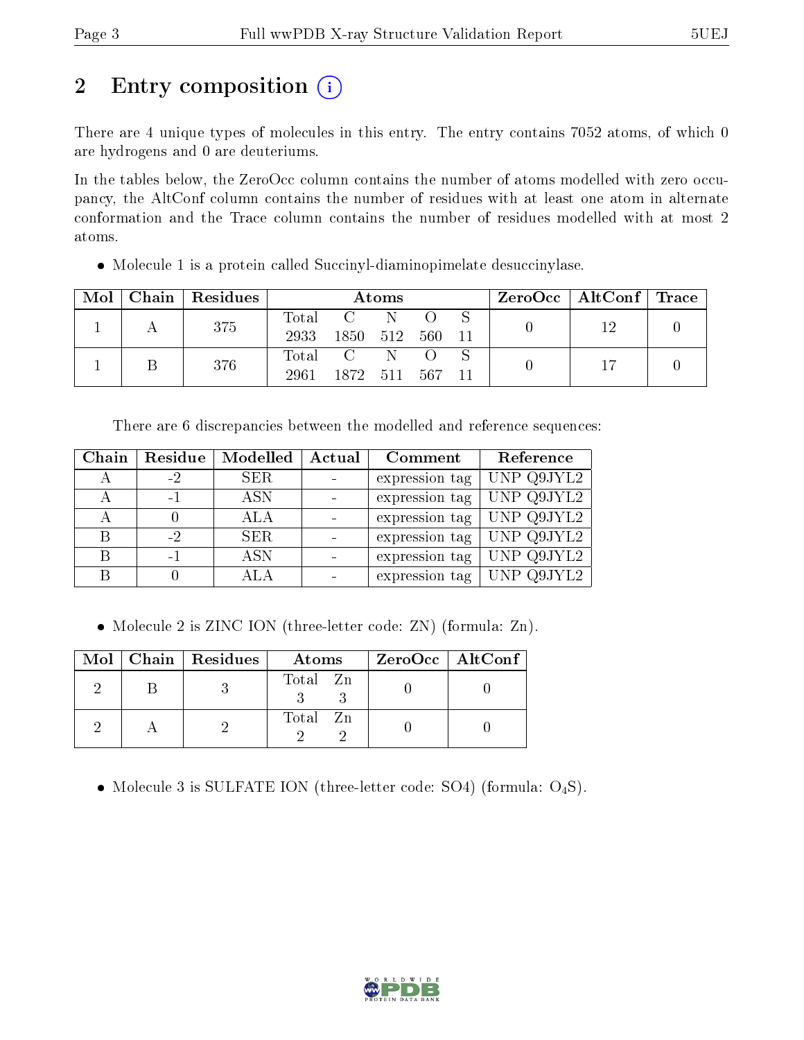## 2 Entry composition (i)

There are 4 unique types of molecules in this entry. The entry contains 7052 atoms, of which 0 are hydrogens and 0 are deuteriums.

In the tables below, the ZeroOcc column contains the number of atoms modelled with zero occupancy, the AltConf column contains the number of residues with at least one atom in alternate conformation and the Trace column contains the number of residues modelled with at most 2 atoms.

Molecule 1 is a protein called Succinyl-diaminopimelate desuccinylase.

| Mol | Chain   Residues | Atoms         |                                 |     |       | $\text{ZeroOcc}$   AltConf   Trace |  |     |  |
|-----|------------------|---------------|---------------------------------|-----|-------|------------------------------------|--|-----|--|
|     | 375              | Total<br>2933 | $\mathbf{C}$<br>1850 512        | - N | -560- | - 11                               |  | 1 ດ |  |
|     | 376              | Total<br>2961 | $C \quad N \quad O$<br>1872 511 |     | .567  | $-11$                              |  |     |  |

There are 6 discrepancies between the modelled and reference sequences:

| Chain | Residue | Modelled   | Actual | Comment        | Reference  |
|-------|---------|------------|--------|----------------|------------|
|       | - 2     | <b>SER</b> |        | expression tag | UNP Q9JYL2 |
|       | $-1$    | <b>ASN</b> |        | expression tag | UNP Q9JYL2 |
|       |         | ALA        |        | expression tag | UNP Q9JYL2 |
| B     | $-2$    | SER.       |        | expression tag | UNP Q9JYL2 |
| B     | -1      | <b>ASN</b> |        | expression tag | UNP Q9JYL2 |
|       |         | ALA        |        | expression tag | UNP Q9JYL2 |

• Molecule 2 is ZINC ION (three-letter code: ZN) (formula: Zn).

|  | Mol   Chain   Residues | Atoms    | $ZeroOcc$   AltConf |
|--|------------------------|----------|---------------------|
|  |                        | Total Zn |                     |
|  |                        | Total Zn |                     |

• Molecule 3 is SULFATE ION (three-letter code: SO4) (formula:  $O_4S$ ).

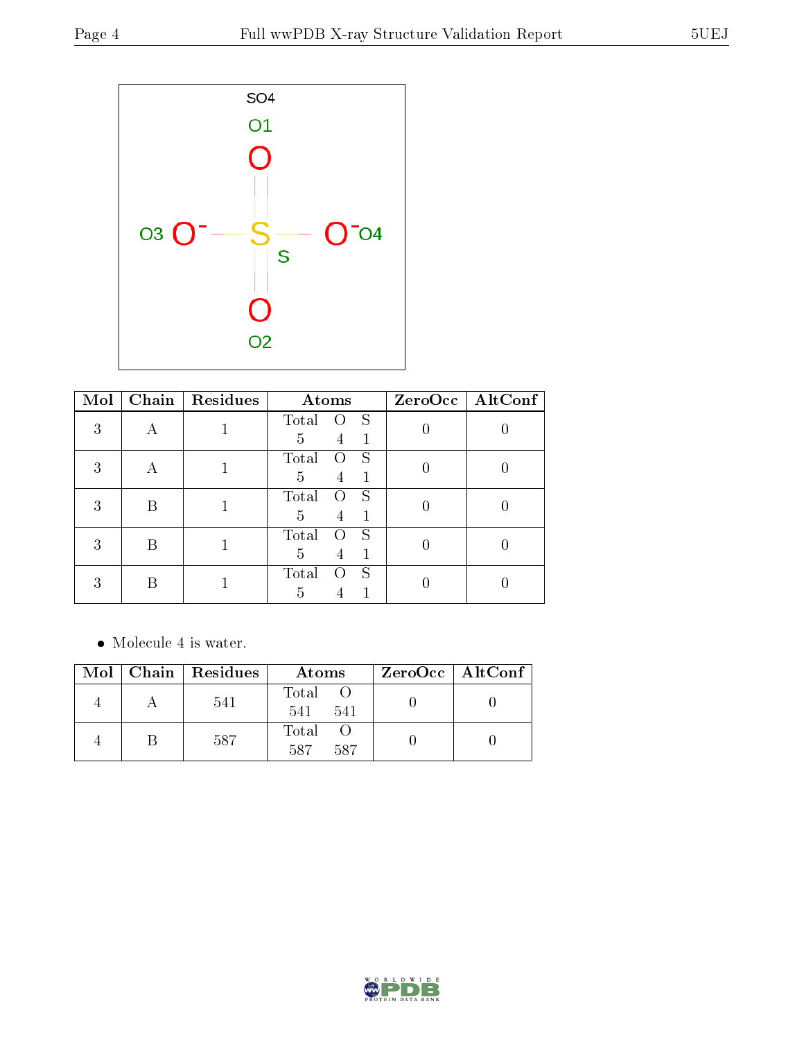

| Mol | Chain | Residues | Atoms                   | ZeroOcc   AltConf |  |
|-----|-------|----------|-------------------------|-------------------|--|
| 3   |       |          | S<br>Total<br>$\lambda$ |                   |  |
|     |       |          | 1<br>5<br>4             |                   |  |
| 3   | А     |          | Total<br>S              |                   |  |
|     |       |          | 5<br>4                  |                   |  |
| 3   | В     |          | Total<br>S<br>0         |                   |  |
|     |       |          | 5<br>4                  |                   |  |
| 3   | В     |          | Total<br>S              |                   |  |
|     |       |          | 5<br>4                  |                   |  |
| 3   | В     |          | S<br>Total              |                   |  |
|     |       |          | $\overline{\mathbf{d}}$ |                   |  |

Molecule 4 is water.

|  | Mol   Chain   Residues | Atoms               | ZeroOcc   AltConf |
|--|------------------------|---------------------|-------------------|
|  | 541                    | Total<br>541<br>541 |                   |
|  | 587                    | Total<br>587<br>587 |                   |

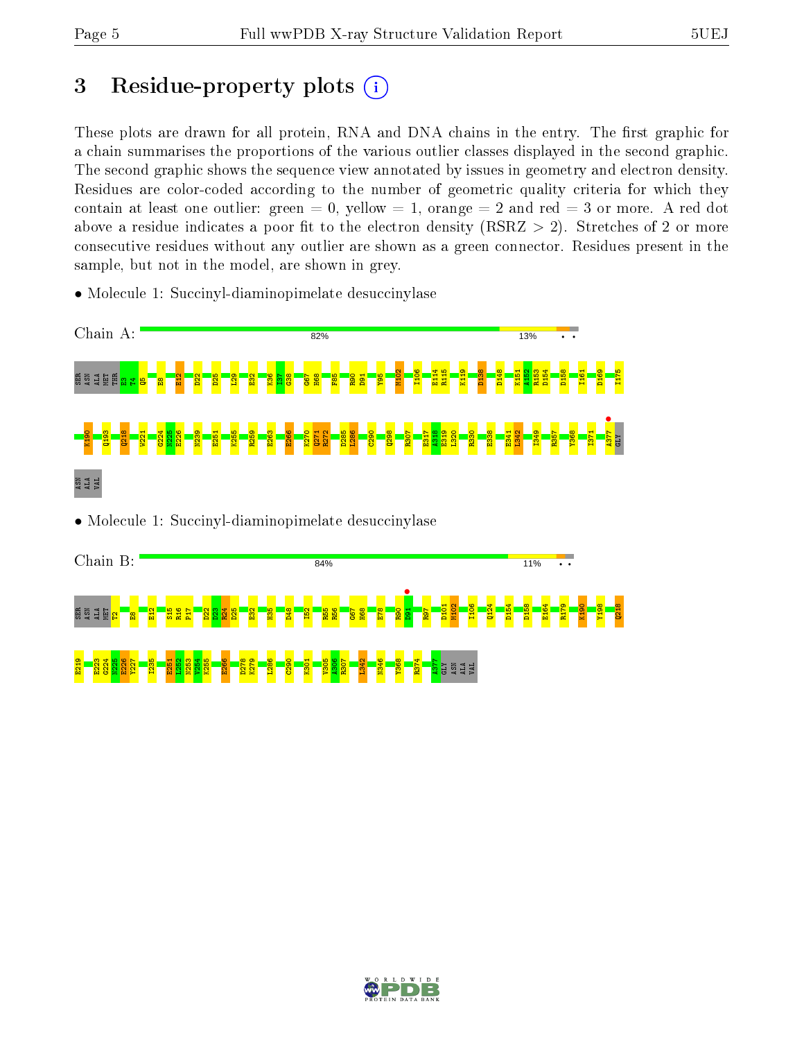## 3 Residue-property plots  $(i)$

These plots are drawn for all protein, RNA and DNA chains in the entry. The first graphic for a chain summarises the proportions of the various outlier classes displayed in the second graphic. The second graphic shows the sequence view annotated by issues in geometry and electron density. Residues are color-coded according to the number of geometric quality criteria for which they contain at least one outlier: green  $= 0$ , yellow  $= 1$ , orange  $= 2$  and red  $= 3$  or more. A red dot above a residue indicates a poor fit to the electron density (RSRZ  $> 2$ ). Stretches of 2 or more consecutive residues without any outlier are shown as a green connector. Residues present in the sample, but not in the model, are shown in grey.

Chain A: 82% 13% M102 I106 E114 R115 K119 D138 D148 K151 A152 R153 D154 D158 I161 D169 I175 មិនទីក្ E12  $\frac{22}{2}$ D25  $\frac{29}{2}$  $\frac{22}{2}$ K36  $\frac{1}{2}$  $\frac{8}{3}$ G67 H68  $\frac{1}{2}$ R90 D91 Y95  $\mathbf{e}$  $^{\circ}$  $\frac{1377}{1784}$ G224 K190 Q193  $\frac{218}{2}$ W221 N225 E226 N239  $\frac{61}{2}$ K255 R259 E263  $\frac{66}{2}$ K270 Q271  $\frac{272}{2}$ D285  $\frac{1286}{1}$  $\frac{80}{2}$ Q298  $R307$ E317  $\frac{18}{2}$ E319 L320 R330  $\frac{38}{2}$  $E_3$  $\frac{1342}{2}$ I349  $R_{\overline{57}}$ Y368 I371 GLY ASN ALA VAL • Molecule 1: Succinyl-diaminopimelate desuccinylase



Chain B: 84% 11% **•**<br>B1 D101 M102 I106 Q124 D154 D158 E164 R179 K190 Y198 Q218 ន្តន្ទីដ្ឋា<mark>ន ន</mark>  $\frac{21}{2}$  $\frac{15}{21}$ R16  $\overline{H}$  $\frac{22}{2}$  $\frac{23}{2}$  $\frac{24}{2}$ D25  $\frac{22}{2}$ H35 D48  $\frac{52}{1}$ R55 R56  $55$ H68 E78  $\frac{80}{2}$ R97 E219 E223  $5224$ N225  $\frac{26}{2}$ Y227 I235  $E_{51}$  $\frac{1252}{2}$ N253 V254 K255 E266 D278 K279 L286  $\frac{8}{2}$  $\frac{1}{20}$ V305 A306 R307 L342 N346 Y368 R374  $\frac{12}{12}$ GLY ASN ALA VAL

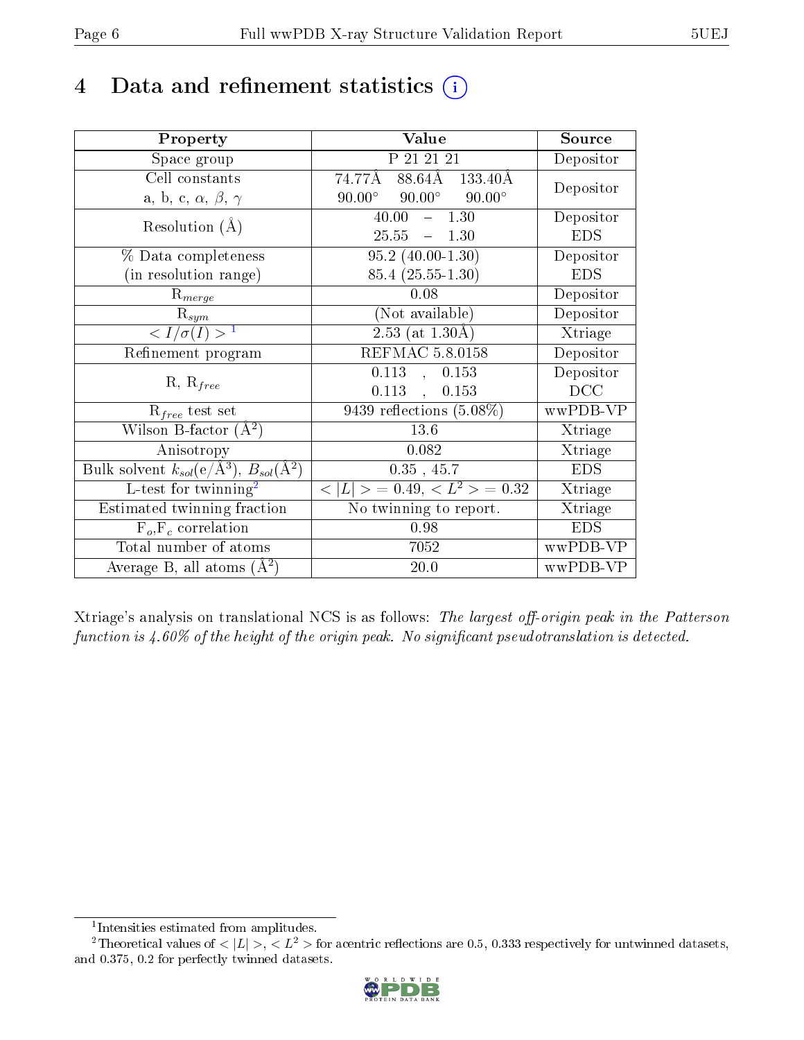## 4 Data and refinement statistics  $(i)$

| Property                                                                | Value                                            | Source         |
|-------------------------------------------------------------------------|--------------------------------------------------|----------------|
| Space group                                                             | P 21 21 21                                       | Depositor      |
| Cell constants                                                          | 88.64Å 133.40Å<br>74.77Å                         |                |
| a, b, c, $\alpha$ , $\beta$ , $\gamma$                                  | $90.00^{\circ}$ $90.00^{\circ}$<br>$90.00^\circ$ | Depositor      |
| Resolution $(A)$                                                        | $-1.30$<br>40.00                                 | Depositor      |
|                                                                         | $25.55 - 1.30$                                   | <b>EDS</b>     |
| % Data completeness                                                     | $95.2$ $(40.00-1.30)$                            | Depositor      |
| (in resolution range)                                                   | $85.4(25.55-1.30)$                               | <b>EDS</b>     |
| $R_{merge}$                                                             | 0.08                                             | Depositor      |
| $\mathbf{R}_{sym}$                                                      | (Not available)                                  | Depositor      |
| $\langle I/\sigma(I) \rangle^{-1}$                                      | $2.53$ (at $1.30\text{\AA}$ )                    | Xtriage        |
| Refinement program                                                      | REFMAC 5.8.0158                                  | Depositor      |
| $R, R_{free}$                                                           | $0.113$ ,<br>0.153                               | Depositor      |
|                                                                         | $0.113$ ,<br>0.153                               | DCC            |
| $R_{free}$ test set                                                     | $9439$ reflections $(5.08\%)$                    | wwPDB-VP       |
| Wilson B-factor $(\AA^2)$                                               | 13.6                                             | Xtriage        |
| Anisotropy                                                              | 0.082                                            | Xtriage        |
| Bulk solvent $k_{sol}(\mathrm{e}/\mathrm{A}^3),\,B_{sol}(\mathrm{A}^2)$ | $0.35$ , 45.7                                    | <b>EDS</b>     |
| L-test for $\mathrm{twinning}^2$                                        | $< L >$ = 0.49, $< L^2 >$ = 0.32                 | Xtriage        |
| Estimated twinning fraction                                             | No twinning to report.                           | <b>Xtriage</b> |
| $F_o, F_c$ correlation                                                  | 0.98                                             | <b>EDS</b>     |
| Total number of atoms                                                   | 7052                                             | wwPDB-VP       |
| Average B, all atoms $(A^2)$                                            | 20.0                                             | wwPDB-VP       |

Xtriage's analysis on translational NCS is as follows: The largest off-origin peak in the Patterson function is  $4.60\%$  of the height of the origin peak. No significant pseudotranslation is detected.

<sup>&</sup>lt;sup>2</sup>Theoretical values of  $\langle |L| \rangle$ ,  $\langle L^2 \rangle$  for acentric reflections are 0.5, 0.333 respectively for untwinned datasets, and 0.375, 0.2 for perfectly twinned datasets.



<span id="page-5-1"></span><span id="page-5-0"></span><sup>1</sup> Intensities estimated from amplitudes.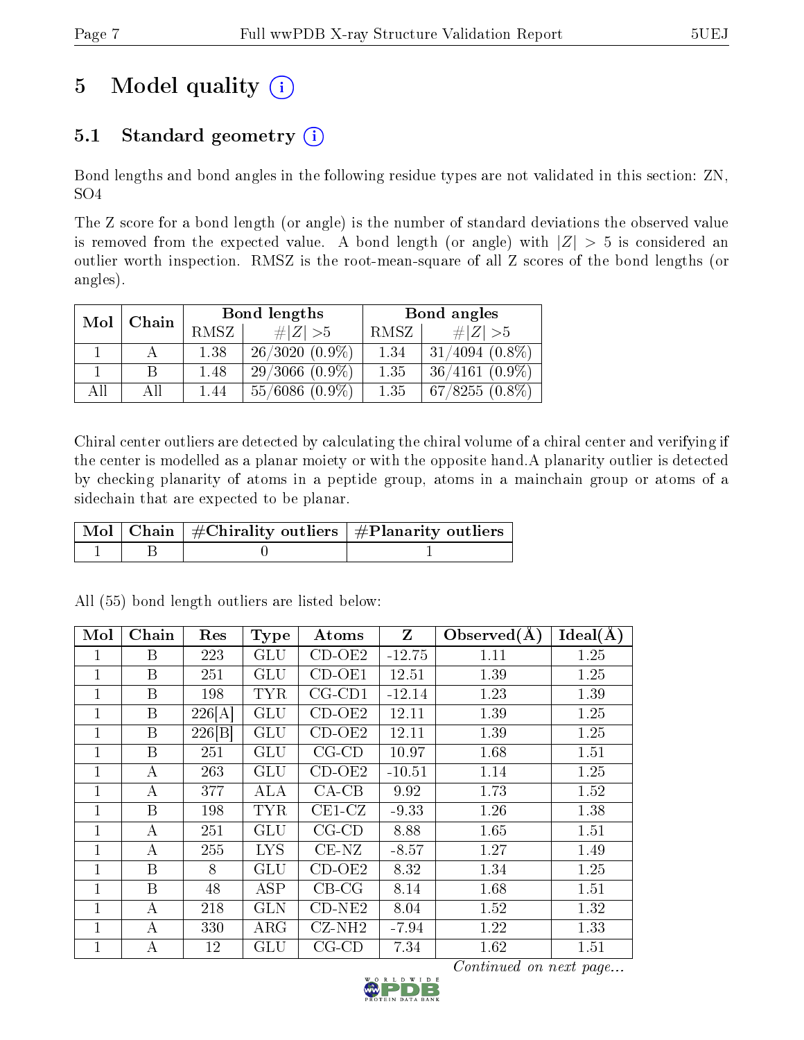## 5 Model quality  $(i)$

### 5.1 Standard geometry  $(i)$

Bond lengths and bond angles in the following residue types are not validated in this section: ZN, SO4

The Z score for a bond length (or angle) is the number of standard deviations the observed value is removed from the expected value. A bond length (or angle) with  $|Z| > 5$  is considered an outlier worth inspection. RMSZ is the root-mean-square of all Z scores of the bond lengths (or angles).

| Mol | Chain |      | Bond lengths     | Bond angles |                     |
|-----|-------|------|------------------|-------------|---------------------|
|     |       | RMSZ | # $ Z  > 5$      | RMSZ        | $\# Z  > 5$         |
|     | А     | 1.38 | $26/3020(0.9\%)$ | 1.34        | $31/4094$ $(0.8\%)$ |
|     |       | 1.48 | $29/3066(0.9\%)$ | 1.35        | $36/4161(0.9\%)$    |
| All | АH    | 1.44 | $55/6086(0.9\%)$ | 1.35        | $67/8255(0.8\%)$    |

Chiral center outliers are detected by calculating the chiral volume of a chiral center and verifying if the center is modelled as a planar moiety or with the opposite hand.A planarity outlier is detected by checking planarity of atoms in a peptide group, atoms in a mainchain group or atoms of a sidechain that are expected to be planar.

|  | $\mid$ Mol $\mid$ Chain $\mid$ #Chirality outliers $\mid$ #Planarity outliers $\mid$ |
|--|--------------------------------------------------------------------------------------|
|  |                                                                                      |

| Mol          | Chain | Res    | <b>Type</b>             | Atoms               | $\mathbf{Z}$ | Observed $(A)$ | Ideal(A) |
|--------------|-------|--------|-------------------------|---------------------|--------------|----------------|----------|
| 1            | B     | 223    | <b>GLU</b>              | $\overline{CD}-OE2$ | $-12.75$     | 1.11           | 1.25     |
| 1            | Β     | 251    | GLU                     | $CD-OE1$            | 12.51        | 1.39           | 1.25     |
| $\mathbf{1}$ | B     | 198    | <b>TYR</b>              | $CG$ - $CD1$        | $-12.14$     | 1.23           | 1.39     |
| $\mathbf{1}$ | B     | 226[A] | <b>GLU</b>              | $CD-OE2$            | 12.11        | 1.39           | 1.25     |
| 1            | B     | 226 B  | GLU                     | $CD-OE2$            | 12.11        | 1.39           | 1.25     |
| 1            | B     | 251    | GLU                     | $CG$ - $CD$         | 10.97        | 1.68           | 1.51     |
| 1            | А     | 263    | <b>GLU</b>              | $CD-OE2$            | $-10.51$     | 1.14           | 1.25     |
| 1            | А     | 377    | <b>ALA</b>              | $CA-CB$             | 9.92         | 1.73           | 1.52     |
| 1            | B     | 198    | <b>TYR</b>              | $CE1-CZ$            | $-9.33$      | 1.26           | 1.38     |
| 1            | А     | 251    | <b>GLU</b>              | $CG$ - $CD$         | 8.88         | 1.65           | 1.51     |
| 1            | А     | 255    | <b>LYS</b>              | $CE-NZ$             | $-8.57$      | 1.27           | 1.49     |
| $\mathbf{1}$ | B     | 8      | GLU                     | $CD-OE2$            | 8.32         | 1.34           | 1.25     |
| $\mathbf{1}$ | B     | 48     | $\overline{\text{ASP}}$ | $CB-CG$             | 8.14         | 1.68           | 1.51     |
| 1            | А     | 218    | <b>GLN</b>              | $CD-NE2$            | 8.04         | 1.52           | 1.32     |
| 1            | А     | 330    | $\rm{ARG}$              | $CZ-NH2$            | $-7.94$      | 1.22           | 1.33     |
| $\mathbf 1$  | А     | 12     | $\operatorname{GLU}$    | $CG$ - $CD$         | 7.34         | 1.62           | 1.51     |

All (55) bond length outliers are listed below:

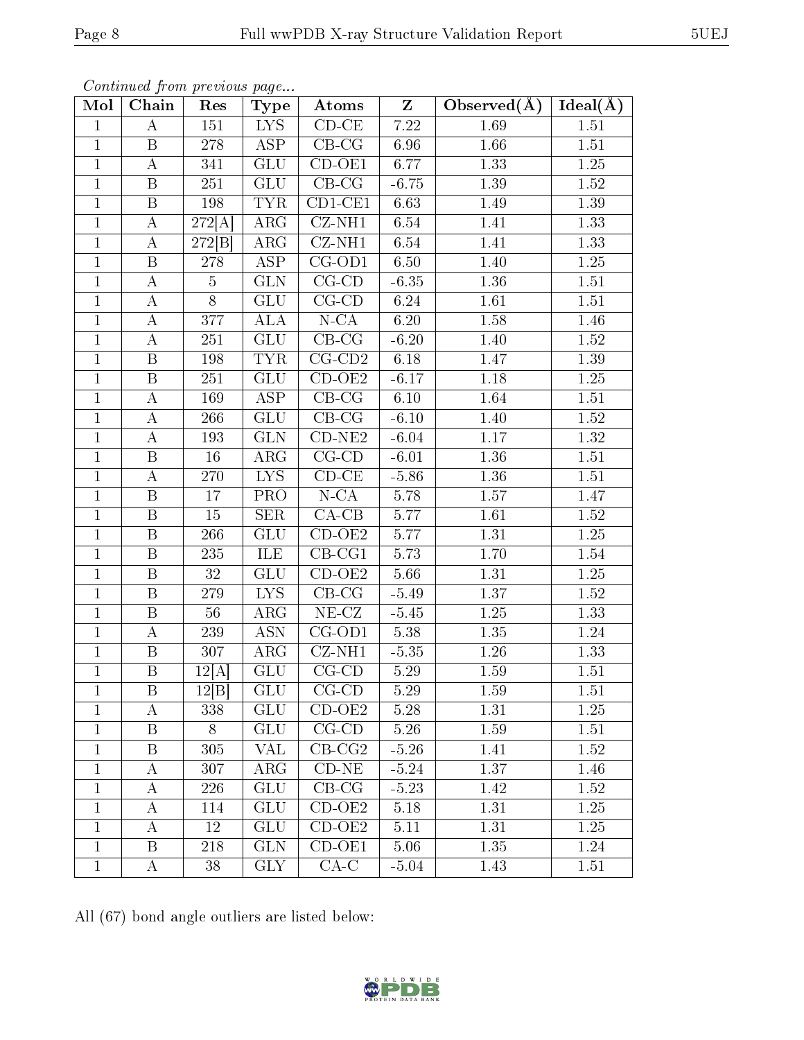| Mol            | Chain                   | Res            | <b>Type</b>                    | Atoms                      | Z                 | Observed(A)       | Ideal(A)          |
|----------------|-------------------------|----------------|--------------------------------|----------------------------|-------------------|-------------------|-------------------|
| $\mathbf{1}$   | A                       | 151            | LYS <sup>1</sup>               | $CD-CE$                    | 7.22              | 1.69              | 1.51              |
| $\mathbf{1}$   | B                       | 278            | ASP                            | $CB-CG$                    | 6.96              | 1.66              | $1.51\,$          |
| $\overline{1}$ | $\boldsymbol{A}$        | 341            | <b>GLU</b>                     | $CD-OE1$                   | 6.77              | 1.33              | 1.25              |
| $\mathbf{1}$   | $\, {\bf B}$            | 251            | GLU                            | $CB-CG$                    | $-6.75$           | 1.39              | 1.52              |
| $\,1$          | $\, {\bf B}$            | 198            | <b>TYR</b>                     | $CD1-CE1$                  | 6.63              | 1.49              | 1.39              |
| $\mathbf{1}$   | $\bf{A}$                | 272[A]         | $\overline{\text{ARG}}$        | $CZ-NH1$                   | 6.54              | 1.41              | 1.33              |
| $\mathbf 1$    | $\bf{A}$                | 272[B]         | $\rm{ARG}$                     | $CZ-NH1$                   | 6.54              | 1.41              | 1.33              |
| $\overline{1}$ | $\overline{\mathbf{B}}$ | 278            | <b>ASP</b>                     | $CG-OD1$                   | 6.50              | $\overline{1.40}$ | 1.25              |
| $\mathbf{1}$   | A                       | $\overline{5}$ | <b>GLN</b>                     | $CG$ - $CD$                | $-6.35$           | 1.36              | 1.51              |
| $\mathbf{1}$   | $\boldsymbol{A}$        | $\overline{8}$ | $\overline{\mathrm{GLU}}$      | $CG$ - $CD$                | 6.24              | 1.61              | 1.51              |
| $\mathbf{1}$   | A                       | 377            | <b>ALA</b>                     | $N - CA$                   | 6.20              | 1.58              | 1.46              |
| $\mathbf{1}$   | A                       | 251            | $\overline{\text{GL}}\text{U}$ | $CB-CG$                    | $-6.20$           | 1.40              | 1.52              |
| $\overline{1}$ | $\boldsymbol{B}$        | 198            | <b>TYR</b>                     | $CG-CD2$                   | 6.18              | 1.47              | 1.39              |
| $\mathbf{1}$   | $\, {\bf B}$            | $251\,$        | <b>GLU</b>                     | $CD-OE2$                   | $-6.17$           | $1.18\,$          | 1.25              |
| $\mathbf{1}$   | A                       | 169            | $\overline{\text{ASP}}$        | $CB-CG$                    | $\overline{6}.10$ | 1.64              | 1.51              |
| $\mathbf{1}$   | А                       | 266            | <b>GLU</b>                     | $CB-CG$                    | $-6.10$           | 1.40              | 1.52              |
| $\mathbf{1}$   | A                       | 193            | <b>GLN</b>                     | $CD-NE2$                   | $-6.04$           | 1.17              | 1.32              |
| $\mathbf{1}$   | $\boldsymbol{B}$        | 16             | $\overline{\rm{ARG}}$          | $CG-CD$                    | $-6.01$           | 1.36              | 1.51              |
| $\mathbf 1$    | A                       | 270            | <b>LYS</b>                     | $CD$ - $CE$                | $-5.86$           | 1.36              | 1.51              |
| $\mathbf{1}$   | B                       | 17             | PRO                            | $N - CA$                   | 5.78              | 1.57              | 1.47              |
| $\mathbf{1}$   | $\boldsymbol{B}$        | $15\,$         | <b>SER</b>                     | $CA-CB$                    | 5.77              | 1.61              | 1.52              |
| $\mathbf{1}$   | B                       | 266            | GLU                            | $CD-OE2$                   | 5.77              | 1.31              | 1.25              |
| $\overline{1}$ | $\overline{B}$          | 235            | ILE                            | $CB-CG1$                   | 5.73              | 1.70              | 1.54              |
| $\mathbf{1}$   | $\boldsymbol{B}$        | 32             | <b>GLU</b>                     | $\overline{CD}-OE2$        | 5.66              | 1.31              | 1.25              |
| $\overline{1}$ | $\boldsymbol{B}$        | 279            | <b>LYS</b>                     | $CB-CG$                    | $-5.49$           | 1.37              | $1.52\,$          |
| $\mathbf{1}$   | $\, {\bf B}$            | 56             | $\rm{ARG}$                     | $NE-CZ$                    | $-5.45$           | $1.25\,$          | 1.33              |
| $\overline{1}$ | $\overline{A}$          | 239            | $\overline{ASN}$               | $CG-OD1$                   | 5.38              | $\overline{1.35}$ | 1.24              |
| $\mathbf{1}$   | $\, {\bf B}$            | 307            | $\rm{ARG}$                     | $\overline{\text{CZ-NH1}}$ | $-5.35$           | $1.26\,$          | 1.33              |
| $\mathbf{1}$   | $\overline{B}$          | 12[A]          | ${\rm GLU}$                    | $CG$ - $CD$                | 5.29              | 1.59              | 1.51              |
| $\overline{1}$ | $\overline{\mathbf{B}}$ | 12[B]          | GLU                            | $CG-CD$                    | $\overline{5.29}$ | $\overline{1.59}$ | $\overline{1.51}$ |
| $\mathbf{1}$   | А                       | 338            | <b>GLU</b>                     | $CD-OE2$                   | 5.28              | 1.31              | 1.25              |
| $\mathbf{1}$   | Β                       | 8              | <b>GLU</b>                     | $CG$ - $CD$                | 5.26              | 1.59              | 1.51              |
| $\mathbf{1}$   | Β                       | 305            | VAL                            | $CB-CG2$                   | $-5.26$           | 1.41              | 1.52              |
| $\mathbf 1$    | A                       | 307            | $\rm{ARG}$                     | $CD-NE$                    | $-5.24$           | 1.37              | 1.46              |
| $\mathbf{1}$   | A                       | 226            | <b>GLU</b>                     | $\overline{\text{CB-CG}}$  | $-5.23$           | 1.42              | 1.52              |
| $\mathbf{1}$   | A                       | 114            | <b>GLU</b>                     | $CD-OE2$                   | 5.18              | 1.31              | 1.25              |
| 1              | A                       | 12             | <b>GLU</b>                     | $CD-OE2$                   | 5.11              | 1.31              | 1.25              |
| $\mathbf{1}$   | Β                       | 218            | <b>GLN</b>                     | $\overline{CD}$ -OE1       | 5.06              | 1.35              | 1.24              |
| $\mathbf{1}$   | A                       | $38\,$         | GLY                            | $CA-C$                     | $-5.04$           | 1.43              | 1.51              |

All (67) bond angle outliers are listed below:

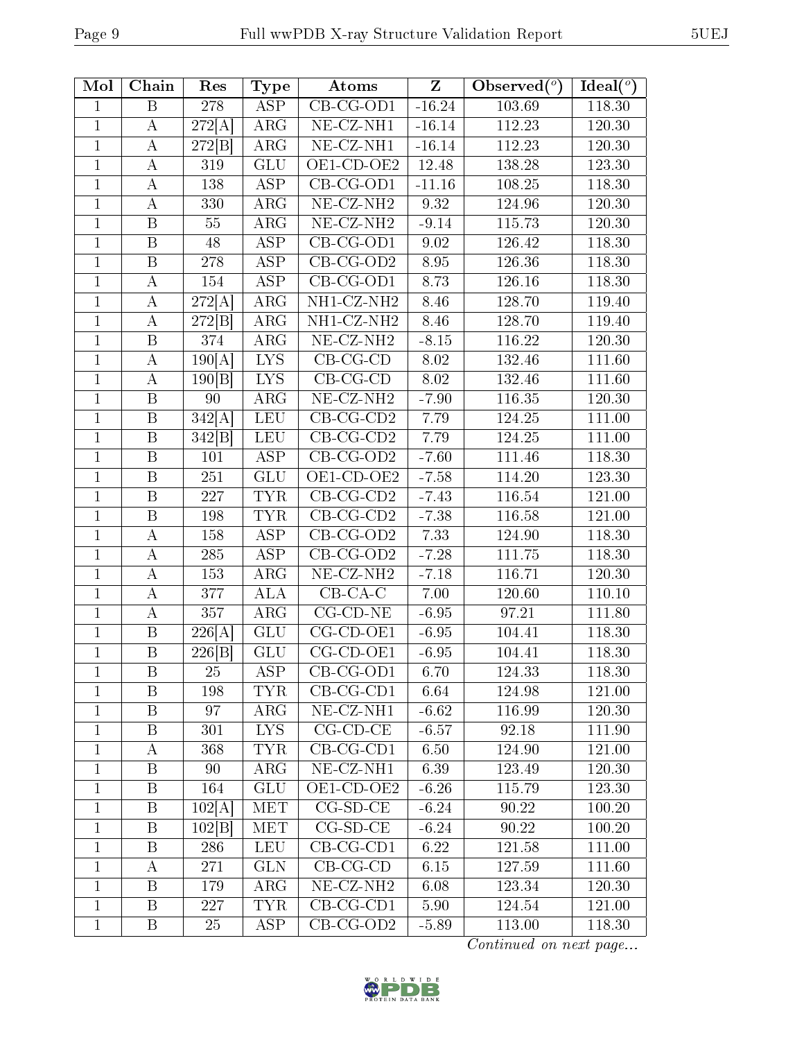| Mol          | Chain            | Res                        | Type                      | Atoms                         | $\mathbf{Z}$ | Observed $(°)$ | Ideal $(°)$ |
|--------------|------------------|----------------------------|---------------------------|-------------------------------|--------------|----------------|-------------|
| $\mathbf{1}$ | B                | 278                        | $\overline{\text{ASP}}$   | $\overline{\text{CB-CG-OD1}}$ | $-16.24$     | 103.69         | 118.30      |
| $\mathbf{1}$ | A                | 272[A]                     | $\rm{ARG}$                | NE-CZ-NH1                     | $-16.14$     | 112.23         | 120.30      |
| $\mathbf{1}$ | A                | 272[B]                     | ARG                       | NE-CZ-NH1                     | $-16.14$     | 112.23         | 120.30      |
| $\mathbf{1}$ | A                | 319                        | GLU                       | OE1-CD-OE2                    | 12.48        | 138.28         | 123.30      |
| $\mathbf 1$  | A                | 138                        | <b>ASP</b>                | $CB$ -CG-OD1                  | $-11.16$     | 108.25         | 118.30      |
| $\mathbf{1}$ | $\boldsymbol{A}$ | 330                        | ARG                       | NE-CZ-NH <sub>2</sub>         | 9.32         | 124.96         | 120.30      |
| $\mathbf{1}$ | B                | 55                         | ARG                       | $NE- CZ-NH2$                  | $-9.14$      | 115.73         | 120.30      |
| $\mathbf{1}$ | $\, {\bf B}$     | $48\,$                     | <b>ASP</b>                | $\overline{\text{CB-CG-OD1}}$ | 9.02         | 126.42         | 118.30      |
| $\mathbf{1}$ | B                | 278                        | <b>ASP</b>                | $CB-CG-OD2$                   | 8.95         | 126.36         | 118.30      |
| $\mathbf 1$  | $\boldsymbol{A}$ | 154                        | <b>ASP</b>                | $CB-CG-OD1$                   | 8.73         | 126.16         | 118.30      |
| $\mathbf 1$  | $\bf{A}$         | 272[A]                     | ARG                       | NH1-CZ-NH2                    | 8.46         | 128.70         | 119.40      |
| $\mathbf{1}$ | A                | 272[B]                     | $\rm{ARG}$                | NH1-CZ-NH2                    | 8.46         | 128.70         | 119.40      |
| $\mathbf{1}$ | $\, {\bf B}$     | 374                        | <b>ARG</b>                | NE-CZ-NH <sub>2</sub>         | $-8.15$      | 116.22         | 120.30      |
| $\mathbf{1}$ | $\bf{A}$         | $\overline{190}[\text{A}]$ | <b>LYS</b>                | $CB-CG-CD$                    | 8.02         | 132.46         | 111.60      |
| 1            | $\bf{A}$         | 190 B                      | <b>LYS</b>                | $CB-CG-CD$                    | 8.02         | 132.46         | 111.60      |
| $\mathbf{1}$ | $\, {\bf B}$     | 90                         | ARG                       | NE-CZ-NH <sub>2</sub>         | $-7.90$      | 116.35         | 120.30      |
| $\mathbf{1}$ | B                | 342[A]                     | <b>LEU</b>                | $CB-CG-CD2$                   | 7.79         | 124.25         | 111.00      |
| $\mathbf{1}$ | $\boldsymbol{B}$ | 342[B]                     | LEU                       | $CB-CG-CD2$                   | 7.79         | 124.25         | 111.00      |
| 1            | $\, {\bf B}$     | 101                        | <b>ASP</b>                | $CB-CG-OD2$                   | $-7.60$      | 111.46         | 118.30      |
| 1            | $\, {\bf B}$     | $251\,$                    | GLU                       | OE1-CD-OE2                    | $-7.58$      | 114.20         | 123.30      |
| $\mathbf{1}$ | B                | 227                        | <b>TYR</b>                | $CB-CG-CD2$                   | $-7.43$      | 116.54         | 121.00      |
| $\mathbf{1}$ | $\boldsymbol{B}$ | 198                        | <b>TYR</b>                | $CB-CG-CD2$                   | $-7.38$      | 116.58         | 121.00      |
| $\mathbf 1$  | $\boldsymbol{A}$ | 158                        | <b>ASP</b>                | $CB-CG-OD2$                   | 7.33         | 124.90         | 118.30      |
| 1            | $\bf{A}$         | 285                        | ASP                       | $CB-CG-OD2$                   | $-7.28$      | 111.75         | 118.30      |
| $\mathbf{1}$ | A                | 153                        | $\rm{ARG}$                | NE-CZ-NH <sub>2</sub>         | $-7.18$      | 116.71         | 120.30      |
| $\mathbf{1}$ | А                | 377                        | <b>ALA</b>                | $CB-CA-C$                     | 7.00         | 120.60         | 110.10      |
| $\mathbf{1}$ | $\bf{A}$         | 357                        | ARG                       | $CG$ - $CD$ - $NE$            | $-6.95$      | 97.21          | 111.80      |
| $\mathbf 1$  | B                | 226[A]                     | $\overline{\mathrm{GLU}}$ | CG-CD-OE1                     | $-6.95$      | 104.41         | 118.30      |
| $\mathbf{1}$ | $\, {\bf B}$     | 226 B                      | GLU                       | $CG$ - $CD$ - $OE1$           | $-6.95$      | 104.41         | 118.30      |
| $\mathbf 1$  | B                | 25                         | <b>ASP</b>                | $CB-CG-OD1$                   | 6.70         | 124.33         | 118.30      |
| $\mathbf{1}$ | B                | 198                        | <b>TYR</b>                | $CB-CG-CD1$                   | 6.64         | 124.98         | 121.00      |
| $\mathbf{1}$ | B                | 97                         | $\rm{ARG}$                | NE-CZ-NH1                     | $-6.62$      | 116.99         | 120.30      |
| $\mathbf{1}$ | $\overline{B}$   | 301                        | $\overline{\text{LYS}}$   | $CG$ - $CD$ - $CE$            | $-6.57$      | 92.18          | 111.90      |
| 1            | A                | 368                        | TYR                       | $CB-CG-CD1$                   | 6.50         | 124.90         | 121.00      |
| $\mathbf{1}$ | B                | 90                         | $\rm{ARG}$                | NE-CZ-NH1                     | 6.39         | 123.49         | 120.30      |
| $\mathbf 1$  | B                | 164                        | GLU                       | OE1-CD-OE2                    | $-6.26$      | 115.79         | 123.30      |
| $\mathbf{1}$ | B                | 102[A]                     | <b>MET</b>                | $CG-SD-CE$                    | $-6.24$      | 90.22          | 100.20      |
| $\mathbf 1$  | Β                | 102 B                      | MET                       | $CG-SD-CE$                    | $-6.24$      | 90.22          | 100.20      |
| 1            | B                | 286                        | <b>LEU</b>                | $\overline{\text{CB-CG-CD1}}$ | 6.22         | 121.58         | 111.00      |
| $\mathbf{1}$ | A                | 271                        | <b>GLN</b>                | $CB-CG-CD$                    | 6.15         | 127.59         | 111.60      |
| $\mathbf{1}$ | B                | 179                        | $\rm{ARG}$                | NE-CZ-NH <sub>2</sub>         | 6.08         | 123.34         | 120.30      |
| $\mathbf{1}$ | $\mathbf{B}$     | 227                        | <b>TYR</b>                | $CB-CG-CD1$                   | 5.90         | 124.54         | 121.00      |
| 1            | B                | 25                         | ASP                       | $CB-CG-OD2$                   | $-5.89$      | 113.00         | 118.30      |

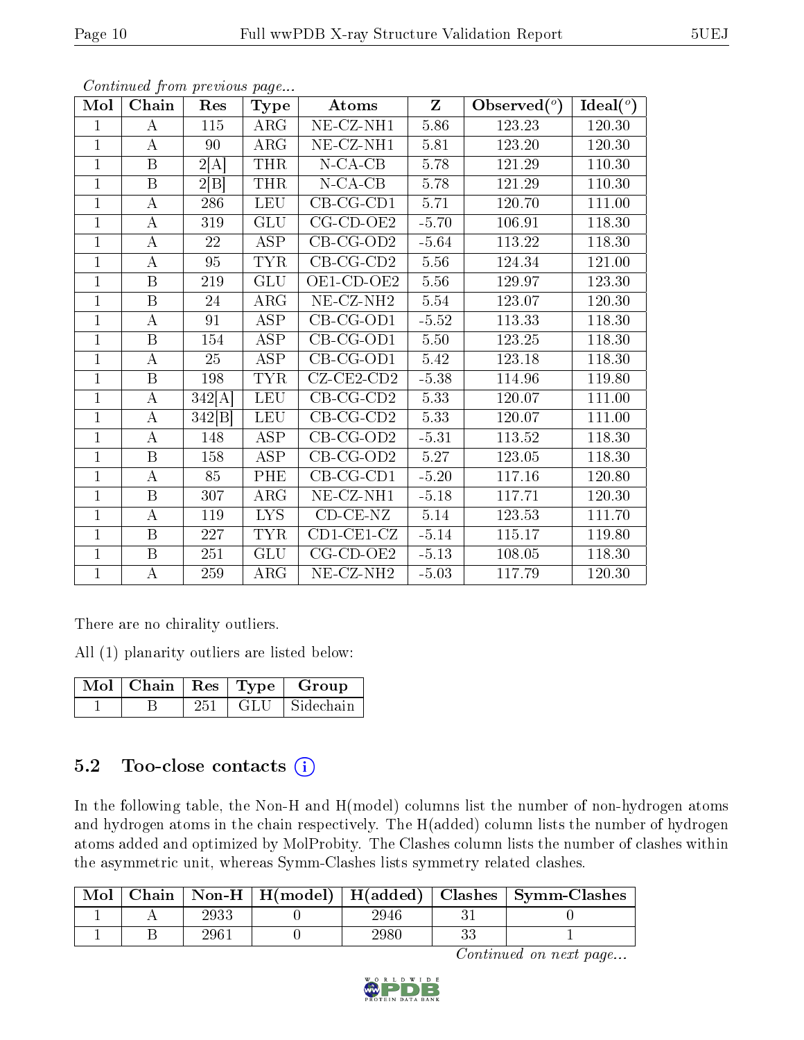| Mol            | Chain                   | Res    | <b>Type</b>             | $Z_{\parallel}$<br>Atoms        |          | Observed $(°)$ | Ideal $(°)$ |
|----------------|-------------------------|--------|-------------------------|---------------------------------|----------|----------------|-------------|
| $\mathbf{1}$   | А                       | 115    | ARG                     | $\overline{\text{NE-CL-NH1}}$   | 5.86     | 123.23         | 120.30      |
| $\mathbf{1}$   | A                       | 90     | ARG                     | NE-CZ-NH1                       | 5.81     | 123.20         | 120.30      |
| $\mathbf{1}$   | B                       | 2[A]   | <b>THR</b>              | $N$ -CA-CB                      | $5.78\,$ | 121.29         | 110.30      |
| $\mathbf{1}$   | $\boldsymbol{B}$        | 2 B    | <b>THR</b>              | $N$ -CA-CB                      | 5.78     | 121.29         | 110.30      |
| $\overline{1}$ | $\bf{A}$                | 286    | <b>LEU</b>              | $CB-CG-CD1$                     | 5.71     | 120.70         | 111.00      |
| $\mathbf{1}$   | $\boldsymbol{A}$        | 319    | <b>GLU</b>              | $CG-CD-OE2$                     | $-5.70$  | 106.91         | 118.30      |
| $\mathbf{1}$   | $\bf{A}$                | 22     | ASP                     | $CB-CG-OD2$                     | $-5.64$  | 113.22         | 118.30      |
| $\overline{1}$ | А                       | 95     | <b>TYR</b>              | $CB-CG-CD2$                     | 5.56     | 124.34         | 121.00      |
| $\overline{1}$ | B                       | 219    | <b>GLU</b>              | OE1-CD-OE2                      | 5.56     | 129.97         | 123.30      |
| $\mathbf{1}$   | $\overline{\mathrm{B}}$ | 24     | $\rm{ARG}$              | NE-CZ-NH <sub>2</sub>           | 5.54     | 123.07         | 120.30      |
| $\mathbf{1}$   | А                       | 91     | <b>ASP</b>              | $CB-CG-OD1$                     | $-5.52$  | 113.33         | 118.30      |
| $\mathbf{1}$   | $\overline{\mathrm{B}}$ | 154    | $\overline{\text{ASP}}$ | $CB-CG-OD1$                     | $5.50\,$ | 123.25         | 118.30      |
| $\mathbf{1}$   | А                       | 25     | <b>ASP</b>              | $CB-CG-OD1$                     | 5.42     | 123.18         | 118.30      |
| $\overline{1}$ | $\overline{B}$          | 198    | <b>TYR</b>              | $CZ$ - $CE2$ - $CD2$            | $-5.38$  | 114.96         | 119.80      |
| $\overline{1}$ | $\overline{A}$          | 342[A] | <b>LEU</b>              | $CB-CG-CD2$                     | 5.33     | 120.07         | 111.00      |
| $\mathbf{1}$   | $\bf{A}$                | 342[B] | <b>LEU</b>              | $CB-CG-CD2$                     | 5.33     | 120.07         | 111.00      |
| $\overline{1}$ | $\bf{A}$                | 148    | <b>ASP</b>              | $CB-CG-OD2$                     | $-5.31$  | 113.52         | 118.30      |
| $\overline{1}$ | B                       | 158    | <b>ASP</b>              | $CB-CG-OD2$                     | 5.27     | 123.05         | 118.30      |
| $\mathbf{1}$   | $\boldsymbol{A}$        | 85     | PHE                     | $CB-CG-CD1$                     | $-5.20$  | 117.16         | 120.80      |
| $\mathbf{1}$   | $\overline{\mathbf{B}}$ | 307    | $\rm{ARG}$              | NE-CZ-NH1                       | $-5.18$  | 117.71         | 120.30      |
| $\mathbf{1}$   | $\boldsymbol{A}$        | 119    | <b>LYS</b>              | $CD-CE-NZ$                      | 5.14     | 123.53         | 111.70      |
| $\mathbf{1}$   | B                       | 227    | <b>TYR</b>              | $\overline{\text{CD}}$ 1-CE1-CZ | $-5.14$  | 115.17         | 119.80      |
| $\mathbf{1}$   | $\boldsymbol{B}$        | 251    | <b>GLU</b>              | $CG-CD-OE2$                     | $-5.13$  | 108.05         | 118.30      |
| $\mathbf{1}$   | $\boldsymbol{A}$        | 259    | ARG                     | NE-CZ-NH <sub>2</sub>           | $-5.03$  | 117.79         | 120.30      |

There are no chirality outliers.

All (1) planarity outliers are listed below:

| $\overline{\text{Mol}}$   Chain   Res   Type |       | Group     |
|----------------------------------------------|-------|-----------|
|                                              | GLU - | Sidechain |

### $5.2$  Too-close contacts  $(i)$

In the following table, the Non-H and H(model) columns list the number of non-hydrogen atoms and hydrogen atoms in the chain respectively. The H(added) column lists the number of hydrogen atoms added and optimized by MolProbity. The Clashes column lists the number of clashes within the asymmetric unit, whereas Symm-Clashes lists symmetry related clashes.

| Mol |          |      | Chain   Non-H   H(model)   H(added)   Clashes   Symm-Clashes |
|-----|----------|------|--------------------------------------------------------------|
|     | 2933     | 2946 |                                                              |
|     | $296\,1$ | 2980 |                                                              |

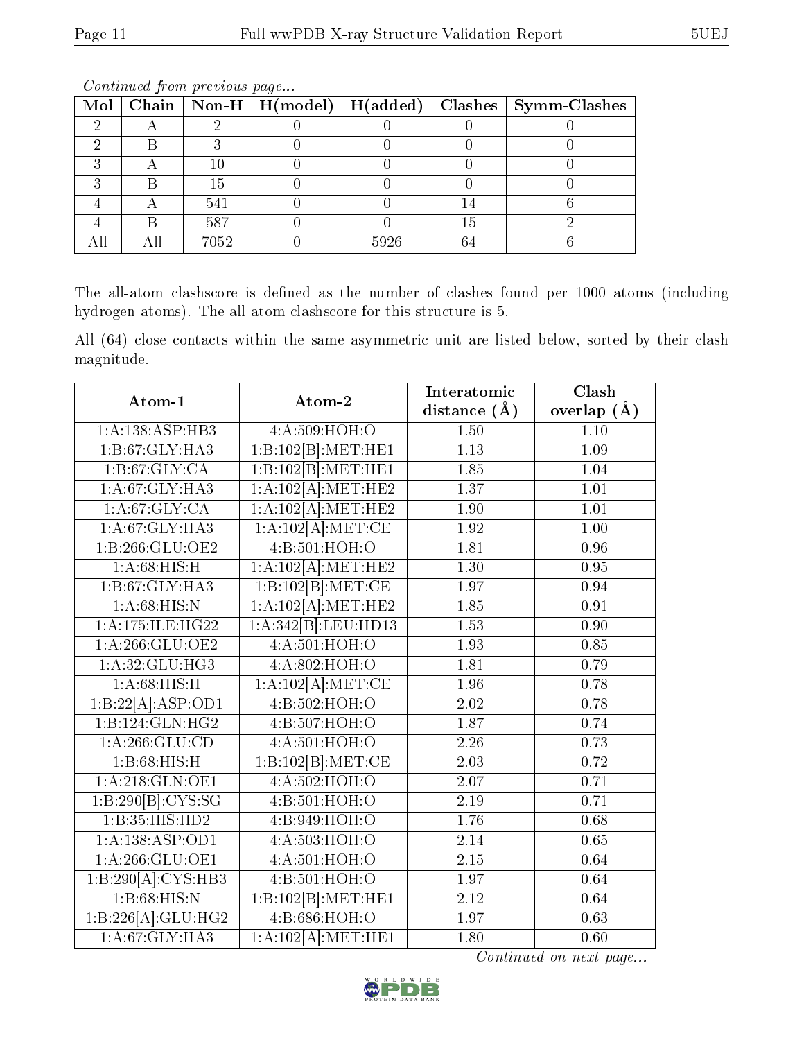|  |      |      |    | Mol   Chain   Non-H   H(model)   H(added)   Clashes   Symm-Clashes |
|--|------|------|----|--------------------------------------------------------------------|
|  |      |      |    |                                                                    |
|  |      |      |    |                                                                    |
|  | 10   |      |    |                                                                    |
|  | 15   |      |    |                                                                    |
|  | 541  |      |    |                                                                    |
|  | 587  |      | 15 |                                                                    |
|  | 7052 | 5926 |    |                                                                    |

The all-atom clashscore is defined as the number of clashes found per 1000 atoms (including hydrogen atoms). The all-atom clashscore for this structure is 5.

All (64) close contacts within the same asymmetric unit are listed below, sorted by their clash magnitude.

| Atom-1                      | Atom-2                     | Interatomic       | Clash             |
|-----------------------------|----------------------------|-------------------|-------------------|
|                             |                            | distance $(A)$    | overlap $(\AA)$   |
| 1:A:138:ASP:HB3             | 4:A:509:HOH:O              | 1.50              | 1.10              |
| 1:B:67:GLY:HA3              | 1:B:102[B]:MET:HE1         | 1.13              | 1.09              |
| 1: B:67: GLY:CA             | 1:B:102[B]:MET:HE1         | 1.85              | 1.04              |
| $1:A:67:GLY:H\overline{A3}$ | 1:A:102[A]:MET:HE2         | 1.37              | 1.01              |
| 1: A:67: GLY: CA            | 1:A:102[A]:MET:HE2         | 1.90              | $\overline{1.01}$ |
| 1: A:67: GLY: HA3           | 1:A:102[A]:MET:CE          | 1.92              | 1.00              |
| 1:B:266:GLU:OE2             | 4:B:501:HOH:O              | 1.81              | 0.96              |
| 1: A:68: HIS:H              | 1:A:102[A]:MET:HE2         | 1.30              | 0.95              |
| 1:B:67:GLY:HA3              | 1:B:102[B]:MET:CE          | 1.97              | 0.94              |
| 1: A:68: HIS:N              | 1:A:102[A]:MET:HE2         | 1.85              | 0.91              |
| 1:A:175:ILE:HG22            | 1:A:342[B]:LEU:HD13        | 1.53              | 0.90              |
| 1: A:266: GLU:OE2           | 4: A:501:HOH:O             | 1.93              | 0.85              |
| 1: A:32: GLU:HG3            | 4:A:802:HOH:O              | 1.81              | 0.79              |
| 1: A:68:HIS:H               | 1:A:102[A]:MET:CE          | 1.96              | 0.78              |
| 1:B:22[A]:ASP:OD1           | 4: B: 502: HOH:O           | 2.02              | 0.78              |
| 1:B:124:GLN:HG2             | 4:B:507:HOH:O              | 1.87              | 0.74              |
| $1:\overline{A:266:GLU:CD}$ | $4:A:501:\overline{HOH:O}$ | 2.26              | 0.73              |
| 1:B:68:HIS:H                | 1:B:102[B]:MET:CE          | 2.03              | 0.72              |
| 1:A:218:GLN:OE1             | 4:A:502:HOH:O              | 2.07              | 0.71              |
| 1:B:290[B]:CYS:SG           | 4:B:501:HOH:O              | 2.19              | 0.71              |
| 1:B:35:HIS:HD2              | 4:B:949:HOH:O              | 1.76              | 0.68              |
| 1:A:138:ASP:OD1             | 4:A:503:HOH:O              | 2.14              | 0.65              |
| 1: A:266: GLU:OE1           | 4:A:501:HOH:O              | 2.15              | 0.64              |
| 1:B:290[A]:CYS:HB3          | 4:Bi:501:HOH:O             | 1.97              | 0.64              |
| 1:B:68:HIS:N                | 1:B:102[B]:MET:HE1         | 2.12              | 0.64              |
| 1:B:226[A]:GLU:HG2          | 4:B:686:HOH:O              | 1.97              | 0.63              |
| 1: A:67: GLY: HA3           | 1:A:102[A]:MET:HE1         | $\overline{1.80}$ | 0.60              |

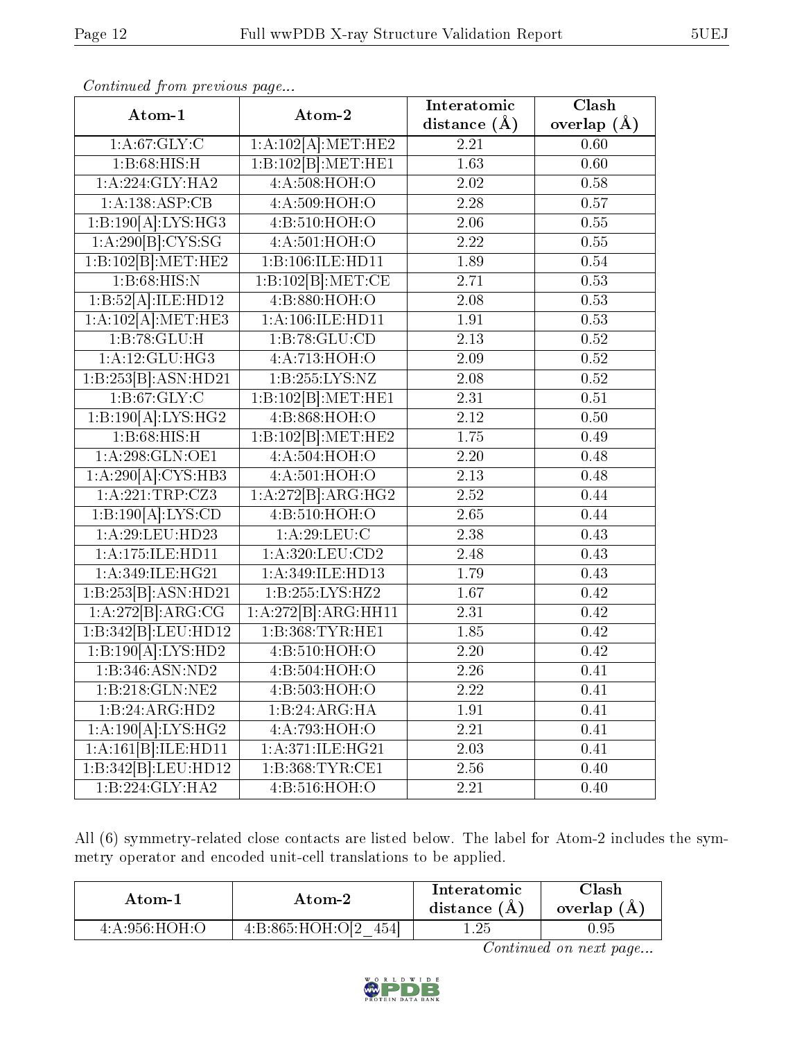| Atom-1              | Atom-2                       | Interatomic       | Clash           |  |
|---------------------|------------------------------|-------------------|-----------------|--|
|                     |                              | distance $(A)$    | overlap $(\AA)$ |  |
| 1: A:67: GLY: C     | 1:A:102[A]:MET:HE2           | 2.21              | 0.60            |  |
| 1: B:68: HIS:H      | 1:B:102[B]:MET:HE1           | 1.63              | 0.60            |  |
| 1:A:224:GLY:HA2     | 4:A:508:HOH:O                | 2.02              | 0.58            |  |
| 1:A:138:ASP:CB      | 4:A:509:HOH:O                | 2.28              | 0.57            |  |
| 1:B:190[A]:LYS:HG3  | 4:B:510:HOH:O                | 2.06              | $0.55\,$        |  |
| 1:A:290[B]:CYS:SG   | 4:A:501:HOH:O                | 2.22              | 0.55            |  |
| 1:B:102[B]:MET:HE2  | 1:B:106:ILE:HD11             | 1.89              | $0.54\,$        |  |
| 1:B:68:HIS:N        | 1:B:102[B]:MET:CE            | 2.71              | 0.53            |  |
| 1:B:52[A]:ILE:HD12  | 4:B:880:HOH:O                | $\overline{2.08}$ | 0.53            |  |
| 1:A:102[A]:MET:HE3  | 1:A:106:ILE:HD11             | 1.91              | 0.53            |  |
| 1:B:78:GLU:H        | 1:B:78:GLU:CD                | 2.13              | 0.52            |  |
| 1: A:12: GLU:HG3    | 4:A:713:HOH:O                | 2.09              | $0.52\,$        |  |
| 1:B:253[B]:ASN:HD21 | 1:B:255:LYS:NZ               | 2.08              | $0.52\,$        |  |
| 1: B:67: GLY: C     | 1:B:102[B]:MET:HE1           | 2.31              | 0.51            |  |
| 1:B:190[A]:LYS:HG2  | 4:B:868:HOH:O                | 2.12              | 0.50            |  |
| 1:B:68:HIS:H        | 1:B:102[B]:MET:HE2           | 1.75              | 0.49            |  |
| 1: A:298: GLN:OE1   | 4:A:504:HOH:O                | 2.20              | 0.48            |  |
| 1:A:290[A]:CYS:HB3  | 4:A:501:HOH:O                | 2.13              | 0.48            |  |
| 1: A:221:TRP:CZ3    | 1:A:272[B]:ARG:HG2           | 2.52              | 0.44            |  |
| 1:B:190[A]:LYS:CD   | 4:B:510:HOH:O                | 2.65              | 0.44            |  |
| 1: A:29: LEU: HD23  | 1: A:29:LEU:C                | 2.38              | 0.43            |  |
| 1:A:175:ILE:HD11    | 1:A:320:LEU:CD2              | 2.48              | 0.43            |  |
| 1:A:349:ILE:HG21    | 1:A:349:ILE:HD13             | 1.79              | 0.43            |  |
| 1:B:253[B]:ASN:HD21 | 1:B:255:LYS:HZ2              | 1.67              | 0.42            |  |
| 1:A:272[B]:ARG:CG   | 1:A:272[B]:ARG:HH11          | 2.31              | 0.42            |  |
| 1:B:342[B]:LEU:HD12 | 1: B: 368: TYR: HE1          | 1.85              | 0.42            |  |
| 1:B:190[A]:LYS:HD2  | 4:B:510:HOH:O                | 2.20              | 0.42            |  |
| 1:B:346:ASN:ND2     | 4:B:504:HOH:O                | 2.26              | 0.41            |  |
| 1:B:218:GLN:NE2     | 4:B:503:HOH:O                | 2.22              | 0.41            |  |
| 1:B:24:ARG:HD2      | 1:B:24:ARG:HA                | 1.91              | 0.41            |  |
| 1:A:190[A]:LYS:HG2  | 4:A:793:HOH:O                | 2.21              | 0.41            |  |
| 1:A:161[B]:ILE:HD11 | 1: A:371: ILE: HG21          | 2.03              | 0.41            |  |
| 1:B:342[B]:LEU:HD12 | 1: B: 368: TYR: CE1          | 2.56              | 0.40            |  |
| 1:B:224:GLY:HA2     | $4: B:516: \overline{HOH:O}$ | 2.21              | 0.40            |  |

All (6) symmetry-related close contacts are listed below. The label for Atom-2 includes the symmetry operator and encoded unit-cell translations to be applied.

| Atom-1         |                            | Interatomic | $\cap$ lash |
|----------------|----------------------------|-------------|-------------|
| Atom-2         |                            | distance (A | overlap (A  |
| 4: A:956:HOH O | 4: B:865: HOH: O[2]<br>454 | 1.25        | $\rm 0.95$  |

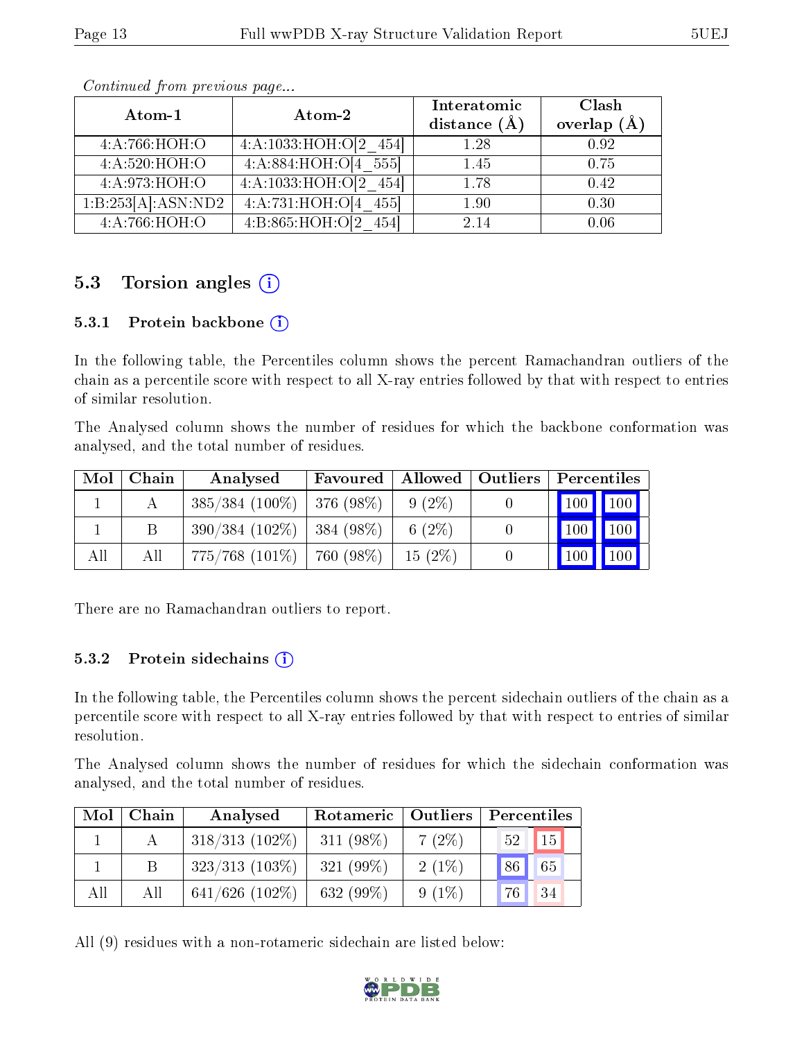| Atom-1                          | Atom-2                    | Interatomic<br>distance $(A)$ | Clash<br>overlap $(A)$ |
|---------------------------------|---------------------------|-------------------------------|------------------------|
| 4: A:766:HOH:O                  | $4:A:1033:HOH:O[2\ 454]$  | 1.28                          | 0.92                   |
| 4: A:520:HOH:O                  | 4:A:884:HOH:O[4 555]      | 1.45                          | 0.75                   |
| 4:A:973:HOH:O                   | 4:A:1033:HOH:O[2 454]     | 1.78                          | 0.42                   |
| $1:B:253[A]:ASN:\overline{ND2}$ | 4:A:731:HOH:O[4 455]      | 1.90                          | 0.30                   |
| 4:A:766:HOH:O                   | 4: B:865: HOH:O[2]<br>454 | 2.14                          | 0.06                   |

### 5.3 Torsion angles  $(i)$

#### 5.3.1 Protein backbone  $(i)$

In the following table, the Percentiles column shows the percent Ramachandran outliers of the chain as a percentile score with respect to all X-ray entries followed by that with respect to entries of similar resolution.

The Analysed column shows the number of residues for which the backbone conformation was analysed, and the total number of residues.

| Mol | Chain | Analysed            | Favoured   Allowed   Outliers |           | Percentiles                     |  |
|-----|-------|---------------------|-------------------------------|-----------|---------------------------------|--|
|     |       | $385/384$ (100\%)   | 376 (98%)                     | $9(2\%)$  | 100 100                         |  |
|     | В     | $390/384(102\%)$    | $1384(98\%)$                  | 6 $(2\%)$ | 100 100                         |  |
| All | All   | $775/768$ $(101\%)$ | 760 (98%)                     | $15(2\%)$ | $\vert$ 100 $\vert$ 100 $\vert$ |  |

There are no Ramachandran outliers to report.

#### 5.3.2 Protein sidechains  $(i)$

In the following table, the Percentiles column shows the percent sidechain outliers of the chain as a percentile score with respect to all X-ray entries followed by that with respect to entries of similar resolution.

The Analysed column shows the number of residues for which the sidechain conformation was analysed, and the total number of residues.

| Mol | Chain | Analysed          |              | Rotameric   Outliers |                       |  |
|-----|-------|-------------------|--------------|----------------------|-----------------------|--|
|     |       | $318/313$ (102\%) | 311 $(98\%)$ | $7(2\%)$             | 15 <sup>1</sup><br>52 |  |
|     |       | $323/313$ (103\%) | 321 $(99\%)$ | $2(1\%)$             | 86 <br>65             |  |
| All | All   | $641/626$ (102\%) | 632 $(99\%)$ | $9(1\%)$             | 76 <sub>1</sub><br>34 |  |

All (9) residues with a non-rotameric sidechain are listed below:

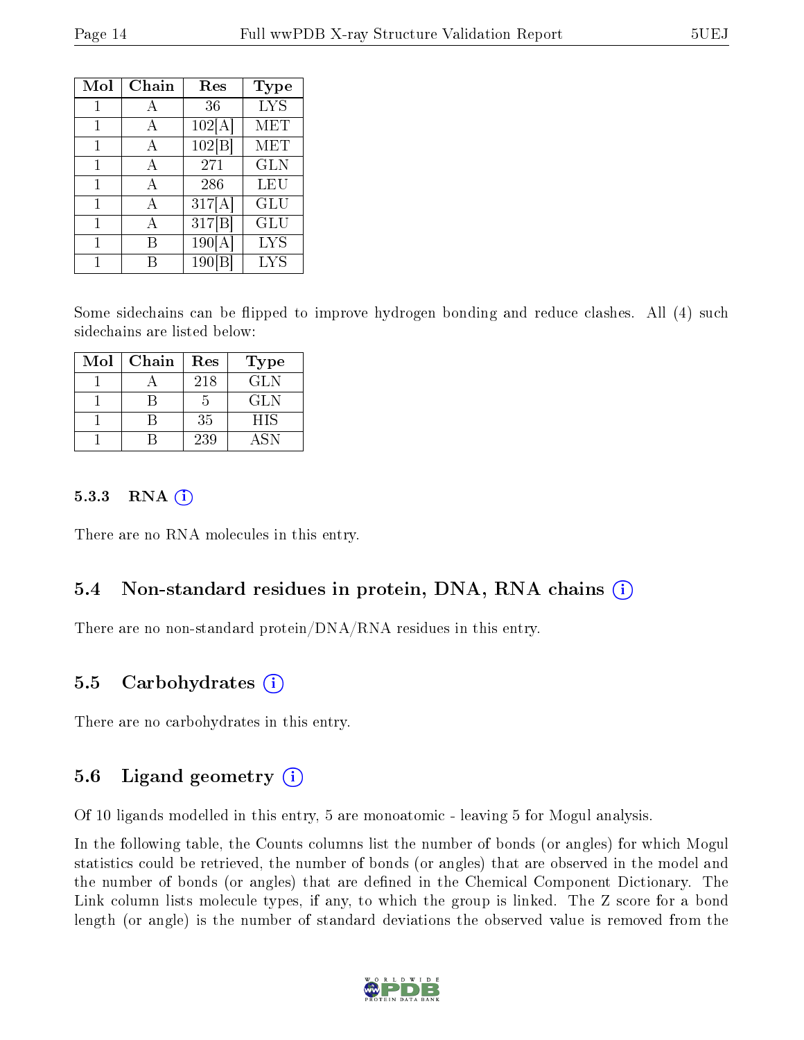| Mol | Chain | $\operatorname{Res}% \left( \mathcal{N}\right) \equiv\operatorname{Res}(\mathcal{N}_{0},\mathcal{N}_{0})$ | Type       |
|-----|-------|-----------------------------------------------------------------------------------------------------------|------------|
| 1   | А     | 36                                                                                                        | <b>LYS</b> |
| 1   | А     | 102[A]                                                                                                    | MET        |
| 1   | А     | 102 B                                                                                                     | MET        |
| 1   | A     | 271                                                                                                       | <b>GLN</b> |
| 1   | A     | 286                                                                                                       | LEU        |
| 1   | A     | 317[A]                                                                                                    | GLU        |
| 1   | А     | 317 B                                                                                                     | GLU        |
|     |       | 190[A]                                                                                                    | <b>LYS</b> |
|     |       | <b>190</b>                                                                                                | <b>LYS</b> |

Some sidechains can be flipped to improve hydrogen bonding and reduce clashes. All (4) such sidechains are listed below:

| Mol | Chain | Res | Type       |
|-----|-------|-----|------------|
|     |       | 218 | <b>GLN</b> |
|     |       | 5   | GLN.       |
|     |       | 35  | <b>HIS</b> |
|     |       | 239 | ASN        |

#### 5.3.3 RNA  $(i)$

There are no RNA molecules in this entry.

#### 5.4 Non-standard residues in protein, DNA, RNA chains (i)

There are no non-standard protein/DNA/RNA residues in this entry.

#### 5.5 Carbohydrates (i)

There are no carbohydrates in this entry.

#### 5.6 Ligand geometry (i)

Of 10 ligands modelled in this entry, 5 are monoatomic - leaving 5 for Mogul analysis.

In the following table, the Counts columns list the number of bonds (or angles) for which Mogul statistics could be retrieved, the number of bonds (or angles) that are observed in the model and the number of bonds (or angles) that are dened in the Chemical Component Dictionary. The Link column lists molecule types, if any, to which the group is linked. The Z score for a bond length (or angle) is the number of standard deviations the observed value is removed from the

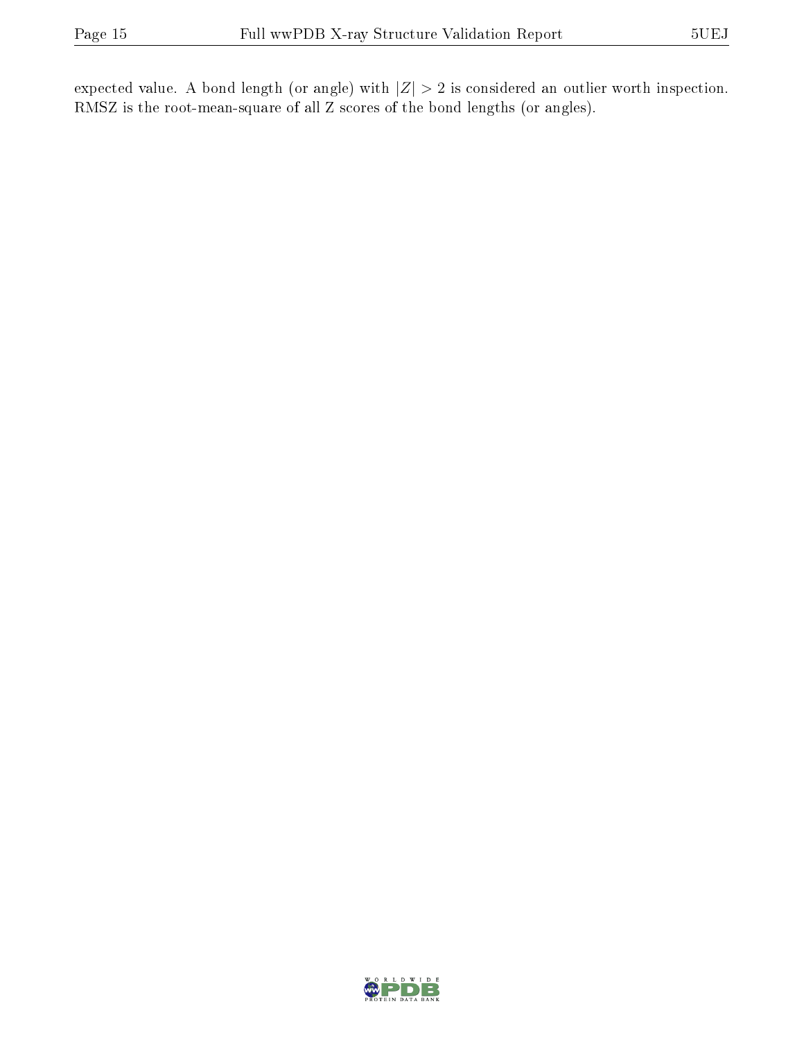expected value. A bond length (or angle) with  $|Z| > 2$  is considered an outlier worth inspection. RMSZ is the root-mean-square of all Z scores of the bond lengths (or angles).

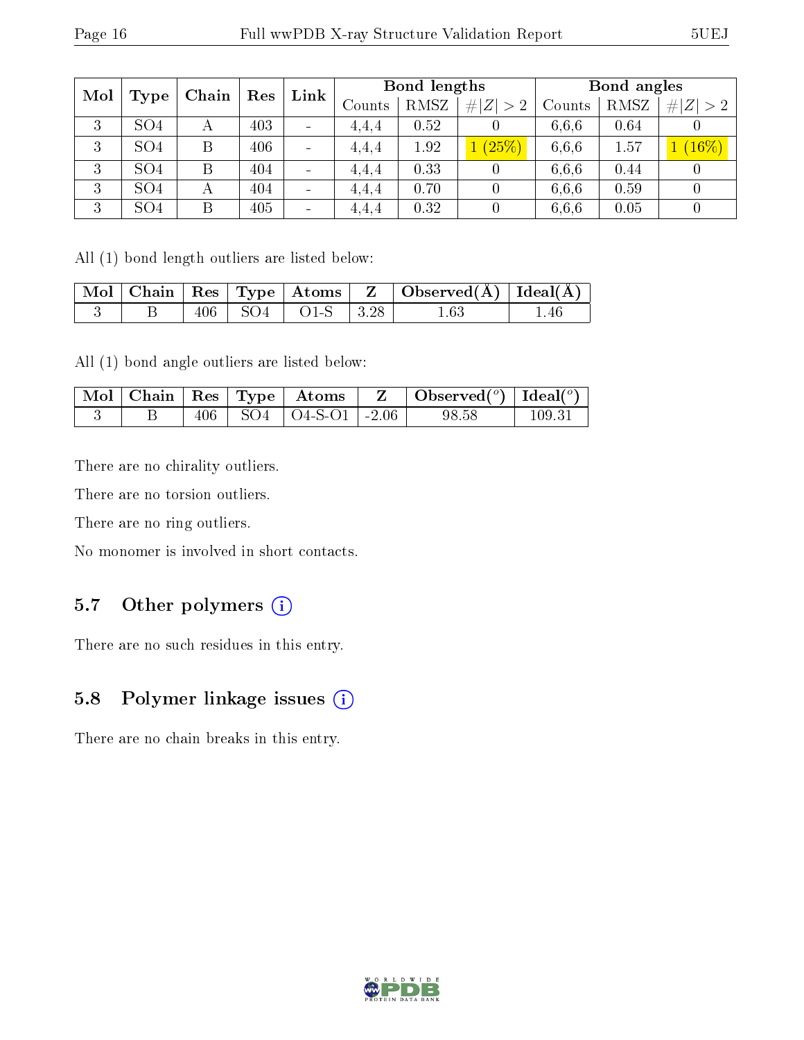| Mol |                 | Chain | Res | Link                         | Bond lengths |      |             |        | Bond angles |             |  |
|-----|-----------------|-------|-----|------------------------------|--------------|------|-------------|--------|-------------|-------------|--|
|     | Type            |       |     |                              | Counts       | RMSZ | # $ Z  > 2$ | Counts | RMSZ        | # $ Z  > 2$ |  |
| 3   | SO <sub>4</sub> |       | 403 | $\qquad \qquad$              | 4.4.4        | 0.52 |             | 6.6.6  | 0.64        |             |  |
| 3   | SO <sub>4</sub> | Β     | 406 | $\qquad \qquad$              | 4.4.4        | 1.92 | (25%)       | 6,6,6  | 1.57        | $(16\%)$    |  |
| 3   | SO <sub>4</sub> |       | 404 | $\qquad \qquad \blacksquare$ | 4,4,4        | 0.33 |             | 6.6.6  | 0.44        |             |  |
| 3   | SO <sub>4</sub> | А     | 404 | $\qquad \qquad \blacksquare$ | 4.4.4        | 0.70 |             | 6.6.6  | 0.59        |             |  |
| 3   | SO <sub>4</sub> | Β     | 405 | $\qquad \qquad$              | 4.4.4        | 0.32 |             | 6,6,6  | 0.05        |             |  |

All (1) bond length outliers are listed below:

|  |  |                           | $\mid$ Mol $\mid$ Chain $\mid$ Res $\mid$ Type $\mid$ Atoms $\mid$ Z $\mid$ Observed(A) $\mid$ Ideal(A) $\mid$ |     |
|--|--|---------------------------|----------------------------------------------------------------------------------------------------------------|-----|
|  |  | $406$   SO4   O1-S   3.28 | $1.63\,$                                                                                                       | .46 |

All (1) bond angle outliers are listed below:

|  |  | $\mid$ Mol $\mid$ Chain $\mid$ Res $\mid$ Type $\mid$ Atoms | Observed( $^o$ )   Ideal( $^o$ ) |            |
|--|--|-------------------------------------------------------------|----------------------------------|------------|
|  |  | $SO4$   $O4-S-O1$   $-2.06$                                 | 98.58                            | $109.31\,$ |

There are no chirality outliers.

There are no torsion outliers.

There are no ring outliers.

No monomer is involved in short contacts.

### 5.7 [O](https://www.wwpdb.org/validation/2017/XrayValidationReportHelp#nonstandard_residues_and_ligands)ther polymers  $(i)$

There are no such residues in this entry.

### 5.8 Polymer linkage issues (i)

There are no chain breaks in this entry.

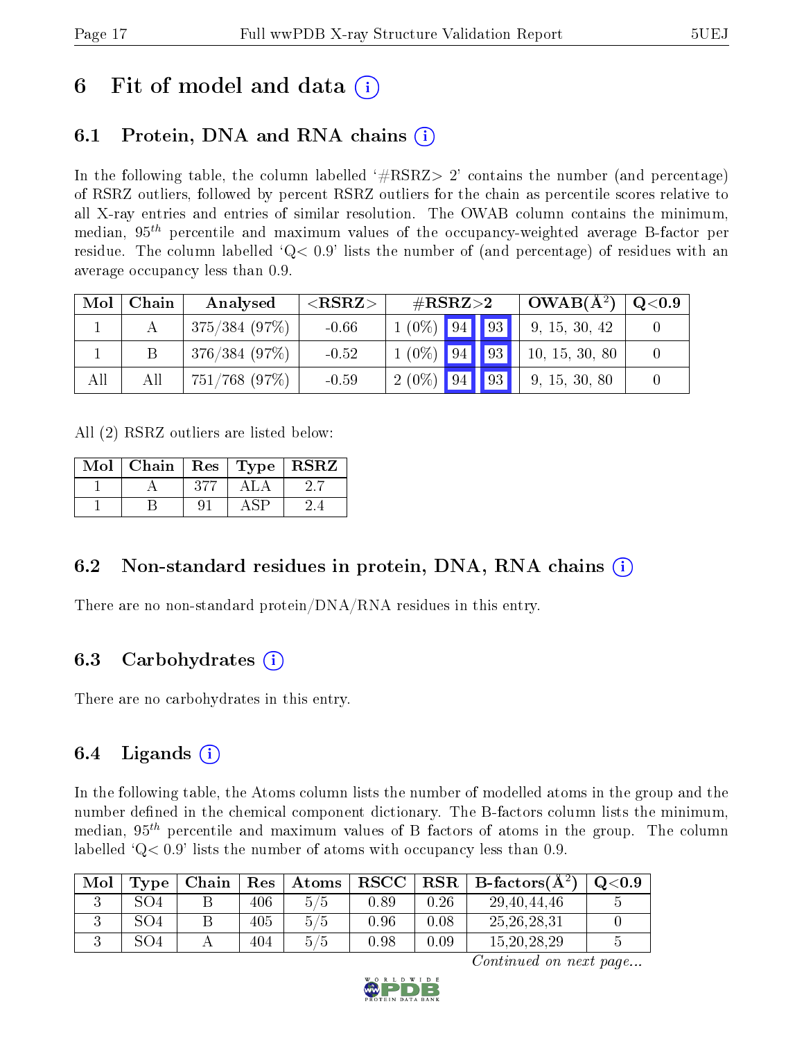## 6 Fit of model and data  $\circ$

## 6.1 Protein, DNA and RNA chains (i)

In the following table, the column labelled  $#RSRZ>2'$  contains the number (and percentage) of RSRZ outliers, followed by percent RSRZ outliers for the chain as percentile scores relative to all X-ray entries and entries of similar resolution. The OWAB column contains the minimum, median,  $95<sup>th</sup>$  percentile and maximum values of the occupancy-weighted average B-factor per residue. The column labelled  $Q < 0.9$  lists the number of (and percentage) of residues with an average occupancy less than 0.9.

| Mol | Chain | Analysed         | ${ <\hspace{-1.5pt}{\mathrm{RSRZ}} \hspace{-1.5pt}>}$ | $\#\text{RSRZ}{>}2$ |  |  | $OWAB(A^2)$    | $\rm Q\textcolor{black}{<}0.9$ |
|-----|-------|------------------|-------------------------------------------------------|---------------------|--|--|----------------|--------------------------------|
|     |       | 375/384(97%)     | $-0.66$                                               | $1(0\%)$ 94 93      |  |  | 9, 15, 30, 42  |                                |
|     |       | 376/384(97%)     | $-0.52$                                               | $1(0\%)$ 94 93      |  |  | 10, 15, 30, 80 |                                |
| All | All   | $751/768$ (97\%) | $-0.59$                                               | $2(0\%)$ 94 93      |  |  | 9, 15, 30, 80  |                                |

All (2) RSRZ outliers are listed below:

| Mol | $\vert$ Chain $\vert$ Res $\vert$ Type $\vert$ RSRZ |     |      |  |
|-----|-----------------------------------------------------|-----|------|--|
|     |                                                     | 377 | ALA  |  |
|     |                                                     | 91  | A SP |  |

### 6.2 Non-standard residues in protein, DNA, RNA chains  $(i)$

There are no non-standard protein/DNA/RNA residues in this entry.

#### 6.3 Carbohydrates (i)

There are no carbohydrates in this entry.

### 6.4 Ligands  $(i)$

In the following table, the Atoms column lists the number of modelled atoms in the group and the number defined in the chemical component dictionary. The B-factors column lists the minimum, median,  $95<sup>th</sup>$  percentile and maximum values of B factors of atoms in the group. The column labelled  $Q< 0.9$ ' lists the number of atoms with occupancy less than 0.9.

| Mol | Type | Chain | Res | Atoms | $_{\rm RSCC}$ |      | $\text{RSR} \parallel \text{B-factors}(\AA^2)$ | Q <sub>0.9</sub> |
|-----|------|-------|-----|-------|---------------|------|------------------------------------------------|------------------|
|     | SO4  |       | 406 | 5/5   | 0.89          | 0.26 | 29, 40, 44, 46                                 |                  |
|     | SO4  |       | 405 | 5/5   | 0.96          | 0.08 | 25, 26, 28, 31                                 |                  |
|     | SO4  |       | 404 | 5/5   | 0.98          | 0.09 | 15, 20, 28, 29                                 |                  |